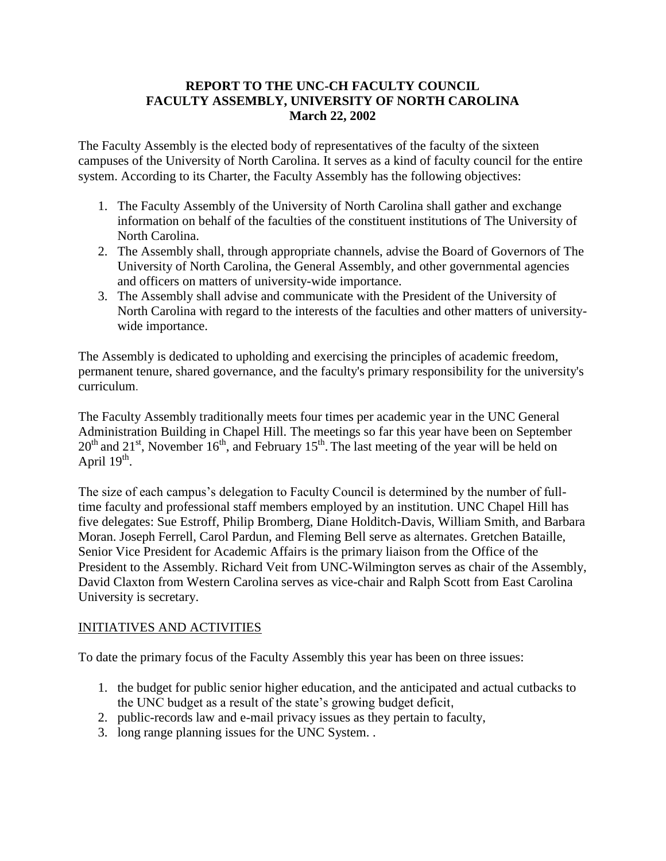## **REPORT TO THE UNC-CH FACULTY COUNCIL FACULTY ASSEMBLY, UNIVERSITY OF NORTH CAROLINA March 22, 2002**

The Faculty Assembly is the elected body of representatives of the faculty of the sixteen campuses of the University of North Carolina. It serves as a kind of faculty council for the entire system. According to its Charter, the Faculty Assembly has the following objectives:

- 1. The Faculty Assembly of the University of North Carolina shall gather and exchange information on behalf of the faculties of the constituent institutions of The University of North Carolina.
- 2. The Assembly shall, through appropriate channels, advise the Board of Governors of The University of North Carolina, the General Assembly, and other governmental agencies and officers on matters of university-wide importance.
- 3. The Assembly shall advise and communicate with the President of the University of North Carolina with regard to the interests of the faculties and other matters of universitywide importance.

The Assembly is dedicated to upholding and exercising the principles of academic freedom, permanent tenure, shared governance, and the faculty's primary responsibility for the university's curriculum.

The Faculty Assembly traditionally meets four times per academic year in the UNC General Administration Building in Chapel Hill. The meetings so far this year have been on September  $20<sup>th</sup>$  and  $21<sup>st</sup>$ , November  $16<sup>th</sup>$ , and February  $15<sup>th</sup>$ . The last meeting of the year will be held on April  $19<sup>th</sup>$ .

The size of each campus's delegation to Faculty Council is determined by the number of fulltime faculty and professional staff members employed by an institution. UNC Chapel Hill has five delegates: Sue Estroff, Philip Bromberg, Diane Holditch-Davis, William Smith, and Barbara Moran. Joseph Ferrell, Carol Pardun, and Fleming Bell serve as alternates. Gretchen Bataille, Senior Vice President for Academic Affairs is the primary liaison from the Office of the President to the Assembly. Richard Veit from UNC-Wilmington serves as chair of the Assembly, David Claxton from Western Carolina serves as vice-chair and Ralph Scott from East Carolina University is secretary.

## INITIATIVES AND ACTIVITIES

To date the primary focus of the Faculty Assembly this year has been on three issues:

- 1. the budget for public senior higher education, and the anticipated and actual cutbacks to the UNC budget as a result of the state's growing budget deficit,
- 2. public-records law and e-mail privacy issues as they pertain to faculty,
- 3. long range planning issues for the UNC System. .